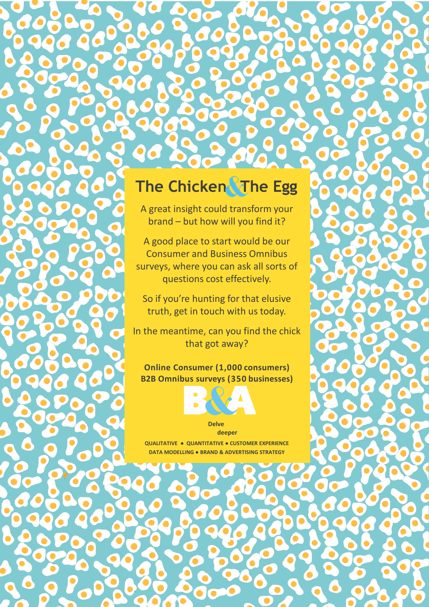## **The Chicken The Egg**

A great insight could transform your brand – but how will you find it?

A good place to start would be our Consumer and Business Omnibus surveys, where you can ask all sorts of questions cost effectively.

So if you're hunting for that elusive truth, get in touch with us today.

In the meantime, can you find the chick that got away?

**Online Consumer (1,000 consumers) B2B Omnibus surveys (350 businesses)**



**Delve deeper** 

**QUALITATIVE ● QUANTITATIVE ● CUSTOMER EXPERIENCE DATA MODELLING ● BRAND & ADVERTISING STRATEGY**